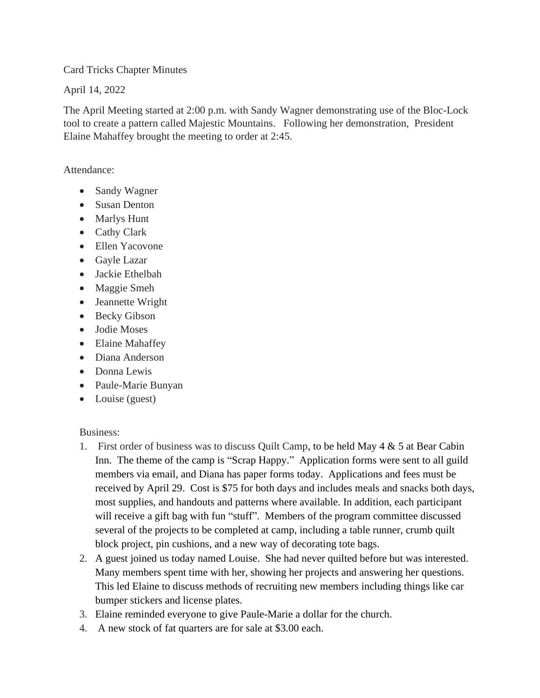Card Tricks Chapter Minutes

April 14, 2022

The April Meeting started at 2:00 p.m. with Sandy Wagner demonstrating use of the Bloc-Lock tool to create a pattern called Majestic Mountains. Following her demonstration, President Elaine Mahaffey brought the meeting to order at 2:45.

Attendance:

- Sandy Wagner
- Susan Denton
- Marlys Hunt
- Cathy Clark
- Ellen Yacovone
- Gayle Lazar
- Jackie Ethelbah
- Maggie Smeh
- Jeannette Wright
- Becky Gibson
- Jodie Moses
- Elaine Mahaffey
- Diana Anderson
- Donna Lewis
- Paule-Marie Bunyan
- Louise (guest)

Business:

- 1. First order of business was to discuss Quilt Camp, to be held May  $4 \& 5$  at Bear Cabin Inn. The theme of the camp is "Scrap Happy." Application forms were sent to all guild members via email, and Diana has paper forms today. Applications and fees must be received by April 29. Cost is \$75 for both days and includes meals and snacks both days, most supplies, and handouts and patterns where available. In addition, each participant will receive a gift bag with fun "stuff". Members of the program committee discussed several of the projects to be completed at camp, including a table runner, crumb quilt block project, pin cushions, and a new way of decorating tote bags.
- 2. A guest joined us today named Louise. She had never quilted before but was interested. Many members spent time with her, showing her projects and answering her questions. This led Elaine to discuss methods of recruiting new members including things like car bumper stickers and license plates.
- 3. Elaine reminded everyone to give Paule-Marie a dollar for the church.
- 4. A new stock of fat quarters are for sale at \$3.00 each.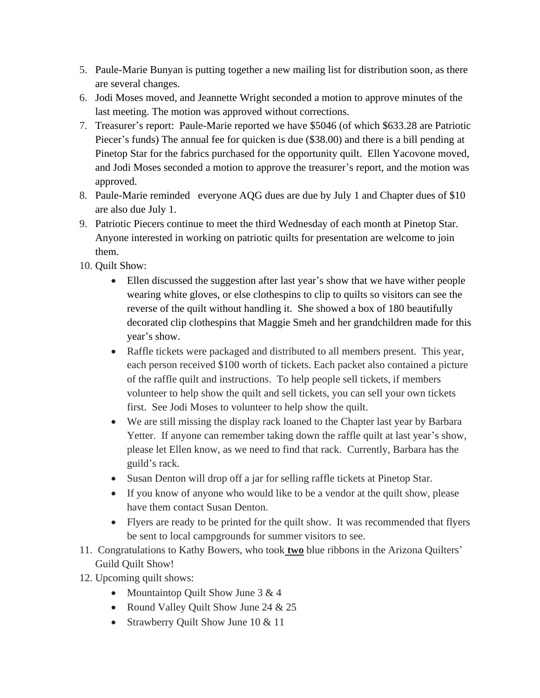- 5. Paule-Marie Bunyan is putting together a new mailing list for distribution soon, as there are several changes.
- 6. Jodi Moses moved, and Jeannette Wright seconded a motion to approve minutes of the last meeting. The motion was approved without corrections.
- 7. Treasurer's report: Paule-Marie reported we have \$5046 (of which \$633.28 are Patriotic Piecer's funds) The annual fee for quicken is due (\$38.00) and there is a bill pending at Pinetop Star for the fabrics purchased for the opportunity quilt. Ellen Yacovone moved, and Jodi Moses seconded a motion to approve the treasurer's report, and the motion was approved.
- 8. Paule-Marie reminded everyone AQG dues are due by July 1 and Chapter dues of \$10 are also due July 1.
- 9. Patriotic Piecers continue to meet the third Wednesday of each month at Pinetop Star. Anyone interested in working on patriotic quilts for presentation are welcome to join them.
- 10. Quilt Show:
	- Ellen discussed the suggestion after last year's show that we have wither people wearing white gloves, or else clothespins to clip to quilts so visitors can see the reverse of the quilt without handling it. She showed a box of 180 beautifully decorated clip clothespins that Maggie Smeh and her grandchildren made for this year's show.
	- Raffle tickets were packaged and distributed to all members present. This year, each person received \$100 worth of tickets. Each packet also contained a picture of the raffle quilt and instructions. To help people sell tickets, if members volunteer to help show the quilt and sell tickets, you can sell your own tickets first. See Jodi Moses to volunteer to help show the quilt.
	- We are still missing the display rack loaned to the Chapter last year by Barbara Yetter. If anyone can remember taking down the raffle quilt at last year's show, please let Ellen know, as we need to find that rack. Currently, Barbara has the guild's rack.
	- Susan Denton will drop off a jar for selling raffle tickets at Pinetop Star.
	- If you know of anyone who would like to be a vendor at the quilt show, please have them contact Susan Denton.
	- Flyers are ready to be printed for the quilt show. It was recommended that flyers be sent to local campgrounds for summer visitors to see.
- 11. Congratulations to Kathy Bowers, who took **two** blue ribbons in the Arizona Quilters' Guild Quilt Show!
- 12. Upcoming quilt shows:
	- Mountaintop Quilt Show June 3 & 4
	- Round Valley Ouilt Show June 24 & 25
	- Strawberry Quilt Show June 10 & 11